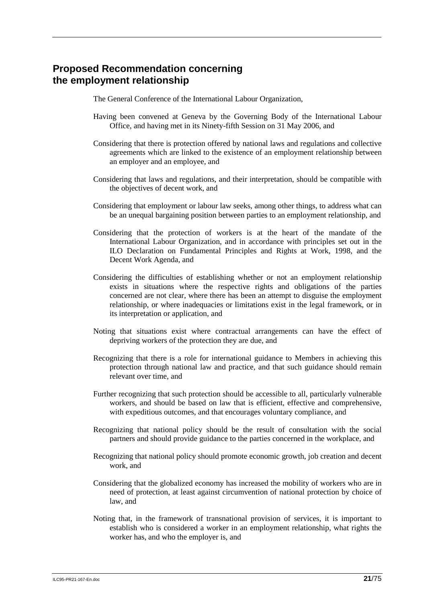## **Proposed Recommendation concerning the employment relationship**

The General Conference of the International Labour Organization,

- Having been convened at Geneva by the Governing Body of the International Labour Office, and having met in its Ninety-fifth Session on 31 May 2006, and
- Considering that there is protection offered by national laws and regulations and collective agreements which are linked to the existence of an employment relationship between an employer and an employee, and
- Considering that laws and regulations, and their interpretation, should be compatible with the objectives of decent work, and
- Considering that employment or labour law seeks, among other things, to address what can be an unequal bargaining position between parties to an employment relationship, and
- Considering that the protection of workers is at the heart of the mandate of the International Labour Organization, and in accordance with principles set out in the ILO Declaration on Fundamental Principles and Rights at Work, 1998, and the Decent Work Agenda, and
- Considering the difficulties of establishing whether or not an employment relationship exists in situations where the respective rights and obligations of the parties concerned are not clear, where there has been an attempt to disguise the employment relationship, or where inadequacies or limitations exist in the legal framework, or in its interpretation or application, and
- Noting that situations exist where contractual arrangements can have the effect of depriving workers of the protection they are due, and
- Recognizing that there is a role for international guidance to Members in achieving this protection through national law and practice, and that such guidance should remain relevant over time, and
- Further recognizing that such protection should be accessible to all, particularly vulnerable workers, and should be based on law that is efficient, effective and comprehensive, with expeditious outcomes, and that encourages voluntary compliance, and
- Recognizing that national policy should be the result of consultation with the social partners and should provide guidance to the parties concerned in the workplace, and
- Recognizing that national policy should promote economic growth, job creation and decent work, and
- Considering that the globalized economy has increased the mobility of workers who are in need of protection, at least against circumvention of national protection by choice of law, and
- Noting that, in the framework of transnational provision of services, it is important to establish who is considered a worker in an employment relationship, what rights the worker has, and who the employer is, and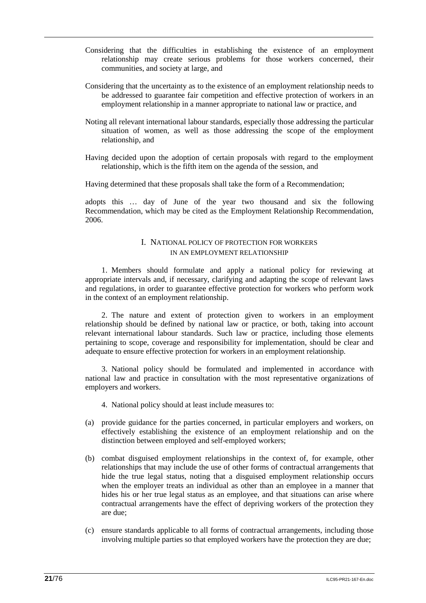- Considering that the difficulties in establishing the existence of an employment relationship may create serious problems for those workers concerned, their communities, and society at large, and
- Considering that the uncertainty as to the existence of an employment relationship needs to be addressed to guarantee fair competition and effective protection of workers in an employment relationship in a manner appropriate to national law or practice, and
- Noting all relevant international labour standards, especially those addressing the particular situation of women, as well as those addressing the scope of the employment relationship, and
- Having decided upon the adoption of certain proposals with regard to the employment relationship, which is the fifth item on the agenda of the session, and

Having determined that these proposals shall take the form of a Recommendation;

adopts this … day of June of the year two thousand and six the following Recommendation, which may be cited as the Employment Relationship Recommendation, 2006.

### I. NATIONAL POLICY OF PROTECTION FOR WORKERS IN AN EMPLOYMENT RELATIONSHIP

1. Members should formulate and apply a national policy for reviewing at appropriate intervals and, if necessary, clarifying and adapting the scope of relevant laws and regulations, in order to guarantee effective protection for workers who perform work in the context of an employment relationship.

2. The nature and extent of protection given to workers in an employment relationship should be defined by national law or practice, or both, taking into account relevant international labour standards. Such law or practice, including those elements pertaining to scope, coverage and responsibility for implementation, should be clear and adequate to ensure effective protection for workers in an employment relationship.

3. National policy should be formulated and implemented in accordance with national law and practice in consultation with the most representative organizations of employers and workers.

- 4. National policy should at least include measures to:
- (a) provide guidance for the parties concerned, in particular employers and workers, on effectively establishing the existence of an employment relationship and on the distinction between employed and self-employed workers;
- (b) combat disguised employment relationships in the context of, for example, other relationships that may include the use of other forms of contractual arrangements that hide the true legal status, noting that a disguised employment relationship occurs when the employer treats an individual as other than an employee in a manner that hides his or her true legal status as an employee, and that situations can arise where contractual arrangements have the effect of depriving workers of the protection they are due;
- (c) ensure standards applicable to all forms of contractual arrangements, including those involving multiple parties so that employed workers have the protection they are due;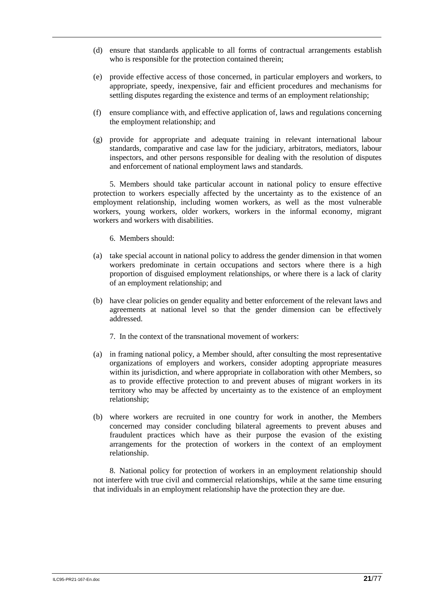- (d) ensure that standards applicable to all forms of contractual arrangements establish who is responsible for the protection contained therein;
- (e) provide effective access of those concerned, in particular employers and workers, to appropriate, speedy, inexpensive, fair and efficient procedures and mechanisms for settling disputes regarding the existence and terms of an employment relationship;
- (f) ensure compliance with, and effective application of, laws and regulations concerning the employment relationship; and
- (g) provide for appropriate and adequate training in relevant international labour standards, comparative and case law for the judiciary, arbitrators, mediators, labour inspectors, and other persons responsible for dealing with the resolution of disputes and enforcement of national employment laws and standards.

5. Members should take particular account in national policy to ensure effective protection to workers especially affected by the uncertainty as to the existence of an employment relationship, including women workers, as well as the most vulnerable workers, young workers, older workers, workers in the informal economy, migrant workers and workers with disabilities.

#### 6. Members should:

- (a) take special account in national policy to address the gender dimension in that women workers predominate in certain occupations and sectors where there is a high proportion of disguised employment relationships, or where there is a lack of clarity of an employment relationship; and
- (b) have clear policies on gender equality and better enforcement of the relevant laws and agreements at national level so that the gender dimension can be effectively addressed.
	- 7. In the context of the transnational movement of workers:
- (a) in framing national policy, a Member should, after consulting the most representative organizations of employers and workers, consider adopting appropriate measures within its jurisdiction, and where appropriate in collaboration with other Members, so as to provide effective protection to and prevent abuses of migrant workers in its territory who may be affected by uncertainty as to the existence of an employment relationship;
- (b) where workers are recruited in one country for work in another, the Members concerned may consider concluding bilateral agreements to prevent abuses and fraudulent practices which have as their purpose the evasion of the existing arrangements for the protection of workers in the context of an employment relationship.

8. National policy for protection of workers in an employment relationship should not interfere with true civil and commercial relationships, while at the same time ensuring that individuals in an employment relationship have the protection they are due.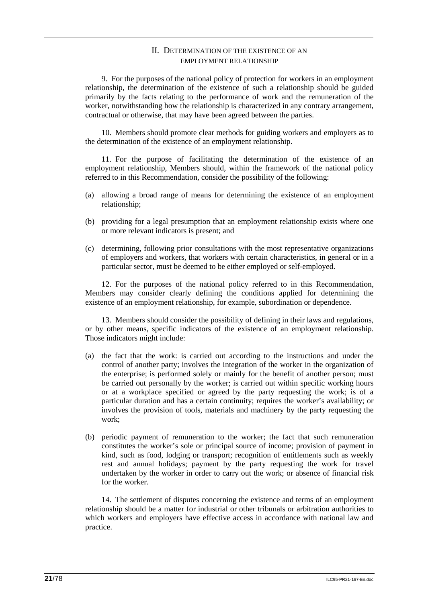### II. DETERMINATION OF THE EXISTENCE OF AN EMPLOYMENT RELATIONSHIP

9. For the purposes of the national policy of protection for workers in an employment relationship, the determination of the existence of such a relationship should be guided primarily by the facts relating to the performance of work and the remuneration of the worker, notwithstanding how the relationship is characterized in any contrary arrangement, contractual or otherwise, that may have been agreed between the parties.

10. Members should promote clear methods for guiding workers and employers as to the determination of the existence of an employment relationship.

11. For the purpose of facilitating the determination of the existence of an employment relationship, Members should, within the framework of the national policy referred to in this Recommendation, consider the possibility of the following:

- (a) allowing a broad range of means for determining the existence of an employment relationship;
- (b) providing for a legal presumption that an employment relationship exists where one or more relevant indicators is present; and
- (c) determining, following prior consultations with the most representative organizations of employers and workers, that workers with certain characteristics, in general or in a particular sector, must be deemed to be either employed or self-employed.

12. For the purposes of the national policy referred to in this Recommendation, Members may consider clearly defining the conditions applied for determining the existence of an employment relationship, for example, subordination or dependence.

13. Members should consider the possibility of defining in their laws and regulations, or by other means, specific indicators of the existence of an employment relationship. Those indicators might include:

- (a) the fact that the work: is carried out according to the instructions and under the control of another party; involves the integration of the worker in the organization of the enterprise; is performed solely or mainly for the benefit of another person; must be carried out personally by the worker; is carried out within specific working hours or at a workplace specified or agreed by the party requesting the work; is of a particular duration and has a certain continuity; requires the worker's availability; or involves the provision of tools, materials and machinery by the party requesting the work;
- (b) periodic payment of remuneration to the worker; the fact that such remuneration constitutes the worker's sole or principal source of income; provision of payment in kind, such as food, lodging or transport; recognition of entitlements such as weekly rest and annual holidays; payment by the party requesting the work for travel undertaken by the worker in order to carry out the work; or absence of financial risk for the worker.

14. The settlement of disputes concerning the existence and terms of an employment relationship should be a matter for industrial or other tribunals or arbitration authorities to which workers and employers have effective access in accordance with national law and practice.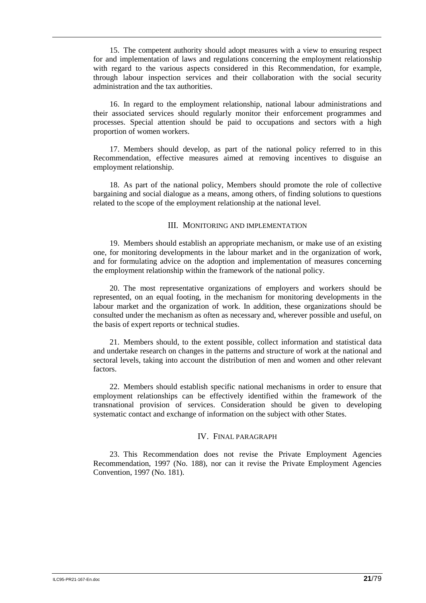15. The competent authority should adopt measures with a view to ensuring respect for and implementation of laws and regulations concerning the employment relationship with regard to the various aspects considered in this Recommendation, for example, through labour inspection services and their collaboration with the social security administration and the tax authorities.

16. In regard to the employment relationship, national labour administrations and their associated services should regularly monitor their enforcement programmes and processes. Special attention should be paid to occupations and sectors with a high proportion of women workers.

17. Members should develop, as part of the national policy referred to in this Recommendation, effective measures aimed at removing incentives to disguise an employment relationship.

18. As part of the national policy, Members should promote the role of collective bargaining and social dialogue as a means, among others, of finding solutions to questions related to the scope of the employment relationship at the national level.

#### III. MONITORING AND IMPLEMENTATION

19. Members should establish an appropriate mechanism, or make use of an existing one, for monitoring developments in the labour market and in the organization of work, and for formulating advice on the adoption and implementation of measures concerning the employment relationship within the framework of the national policy.

20. The most representative organizations of employers and workers should be represented, on an equal footing, in the mechanism for monitoring developments in the labour market and the organization of work. In addition, these organizations should be consulted under the mechanism as often as necessary and, wherever possible and useful, on the basis of expert reports or technical studies.

21. Members should, to the extent possible, collect information and statistical data and undertake research on changes in the patterns and structure of work at the national and sectoral levels, taking into account the distribution of men and women and other relevant factors.

22. Members should establish specific national mechanisms in order to ensure that employment relationships can be effectively identified within the framework of the transnational provision of services. Consideration should be given to developing systematic contact and exchange of information on the subject with other States.

#### IV. FINAL PARAGRAPH

23. This Recommendation does not revise the Private Employment Agencies Recommendation, 1997 (No. 188), nor can it revise the Private Employment Agencies Convention, 1997 (No. 181).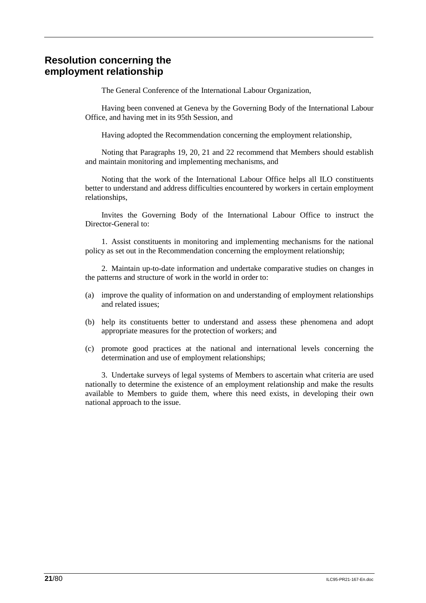# **Resolution concerning the employment relationship**

The General Conference of the International Labour Organization,

Having been convened at Geneva by the Governing Body of the International Labour Office, and having met in its 95th Session, and

Having adopted the Recommendation concerning the employment relationship,

Noting that Paragraphs 19, 20, 21 and 22 recommend that Members should establish and maintain monitoring and implementing mechanisms, and

Noting that the work of the International Labour Office helps all ILO constituents better to understand and address difficulties encountered by workers in certain employment relationships,

Invites the Governing Body of the International Labour Office to instruct the Director-General to:

1. Assist constituents in monitoring and implementing mechanisms for the national policy as set out in the Recommendation concerning the employment relationship;

2. Maintain up-to-date information and undertake comparative studies on changes in the patterns and structure of work in the world in order to:

- (a) improve the quality of information on and understanding of employment relationships and related issues;
- (b) help its constituents better to understand and assess these phenomena and adopt appropriate measures for the protection of workers; and
- (c) promote good practices at the national and international levels concerning the determination and use of employment relationships;

3. Undertake surveys of legal systems of Members to ascertain what criteria are used nationally to determine the existence of an employment relationship and make the results available to Members to guide them, where this need exists, in developing their own national approach to the issue.